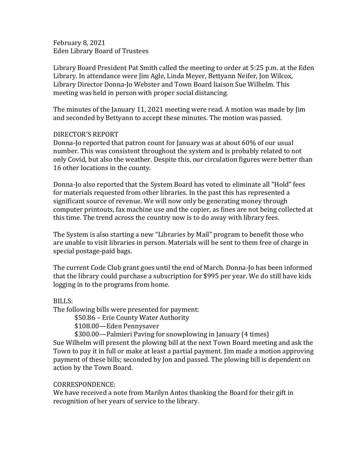February 8, 2021 Eden Library Board of Trustees

Library Board President Pat Smith called the meeting to order at 5:25 p.m. at the Eden Library. In attendance were Jim Agle, Linda Meyer, Bettyann Neifer, Jon Wilcox, Library Director Donna-Jo Webster and Town Board liaison Sue Wilhelm. This meeting was held in person with proper social distancing.

The minutes of the January 11, 2021 meeting were read. A motion was made by Jim and seconded by Bettyann to accept these minutes. The motion was passed.

## DIRECTOR'S REPORT

Donna-Jo reported that patron count for January was at about 60% of our usual number. This was consistent throughout the system and is probably related to not only Covid, but also the weather. Despite this, our circulation figures were better than 16 other locations in the county.

Donna-Jo also reported that the System Board has voted to eliminate all "Hold" fees for materials requested from other libraries. In the past this has represented a significant source of revenue. We will now only be generating money through computer printouts, fax machine use and the copier, as fines are not being collected at this time. The trend across the country now is to do away with library fees.

The System is also starting a new "Libraries by Mail" program to benefit those who are unable to visit libraries in person. Materials will be sent to them free of charge in special postage-paid bags.

The current Code Club grant goes until the end of March. Donna-Jo has been informed that the library could purchase a subscription for \$995 per year. We do still have kids logging in to the programs from home.

## BILLS:

The following bills were presented for payment:

\$50.86 – Erie County Water Authority

\$108.00—Eden Pennysaver

\$300.00—Palmieri Paving for snowplowing in January (4 times)

Sue Wilhelm will present the plowing bill at the next Town Board meeting and ask the Town to pay it in full or make at least a partial payment. Jim made a motion approving payment of these bills; seconded by Jon and passed. The plowing bill is dependent on action by the Town Board.

## CORRESPONDENCE:

We have received a note from Marilyn Antos thanking the Board for their gift in recognition of her years of service to the library.